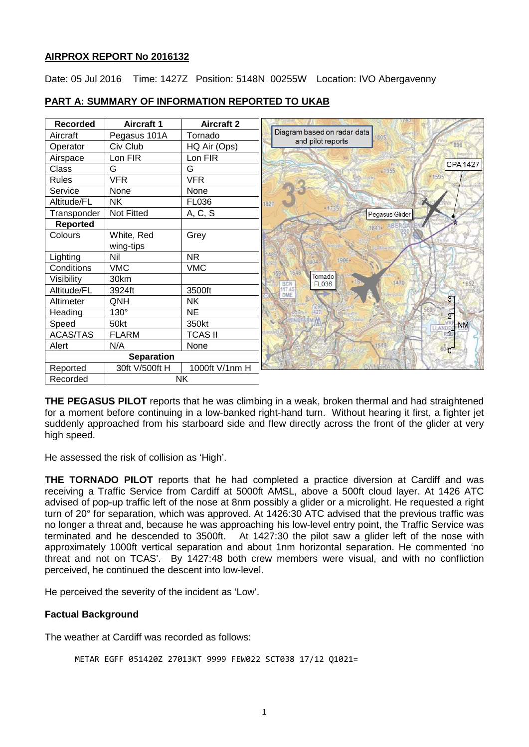# **AIRPROX REPORT No 2016132**

Date: 05 Jul 2016 Time: 1427Z Position: 5148N 00255W Location: IVO Abergavenny

| <b>Recorded</b>       | <b>Aircraft 1</b> | <b>Aircraft 2</b> |                                                          |
|-----------------------|-------------------|-------------------|----------------------------------------------------------|
| Aircraft              | Pegasus 101A      | Tornado           | Diagram based on radar data<br>1805<br>and pilot reports |
| Operator              | Civ Club          | HQ Air (Ops)      | 896                                                      |
| Airspace              | Lon FIR           | Lon FIR           |                                                          |
| Class                 | G                 | G                 | <b>CPA1427</b><br>$-1955$                                |
| <b>Rules</b>          | <b>VFR</b>        | <b>VFR</b>        | 1595                                                     |
| Service               | None              | None              |                                                          |
| Altitude/FL           | <b>NK</b>         | <b>FL036</b>      | 1827                                                     |
| Transponder           | <b>Not Fitted</b> | A, C, S           | Pegasus Glider                                           |
| <b>Reported</b>       |                   |                   | <b>1841 ABERGA</b>                                       |
| Colours               | White, Red        | Grey              |                                                          |
|                       | wing-tips         |                   |                                                          |
| Lighting              | Nil               | <b>NR</b>         | 1906+<br>884                                             |
| Conditions            | <b>VMC</b>        | <b>VMC</b>        | 1648<br>1594                                             |
| Visibility            | 30km              |                   | <b>Tornado</b><br>1470<br>FL036                          |
| Altitude/FL           | 3924ft            | 3500ft            | <b>BCN</b><br>117.45<br>DME                              |
| Altimeter             | QNH               | <b>NK</b>         | 37                                                       |
| Heading               | 130°              | <b>NE</b>         | $2^{r}$                                                  |
| Speed                 | 50kt              | 350kt             | <b>NM</b><br>LLAND                                       |
| <b>ACAS/TAS</b>       | <b>FLARM</b>      | <b>TCAS II</b>    | <b>RES</b>                                               |
| Alert                 | N/A               | None              | 1549<br>600                                              |
| <b>Separation</b>     |                   |                   |                                                          |
| Reported              | 30ft V/500ft H    | 1000ft V/1nm H    |                                                          |
| <b>NK</b><br>Recorded |                   |                   |                                                          |

## **PART A: SUMMARY OF INFORMATION REPORTED TO UKAB**

**THE PEGASUS PILOT** reports that he was climbing in a weak, broken thermal and had straightened for a moment before continuing in a low-banked right-hand turn. Without hearing it first, a fighter jet suddenly approached from his starboard side and flew directly across the front of the glider at very high speed.

He assessed the risk of collision as 'High'.

**THE TORNADO PILOT** reports that he had completed a practice diversion at Cardiff and was receiving a Traffic Service from Cardiff at 5000ft AMSL, above a 500ft cloud layer. At 1426 ATC advised of pop-up traffic left of the nose at 8nm possibly a glider or a microlight. He requested a right turn of 20° for separation, which was approved. At 1426:30 ATC advised that the previous traffic was no longer a threat and, because he was approaching his low-level entry point, the Traffic Service was terminated and he descended to 3500ft. At 1427:30 the pilot saw a glider left of the nose with approximately 1000ft vertical separation and about 1nm horizontal separation. He commented 'no threat and not on TCAS'. By 1427:48 both crew members were visual, and with no confliction perceived, he continued the descent into low-level.

He perceived the severity of the incident as 'Low'.

# **Factual Background**

The weather at Cardiff was recorded as follows:

```
METAR EGFF 051420Z 27013KT 9999 FEW022 SCT038 17/12 Q1021=
```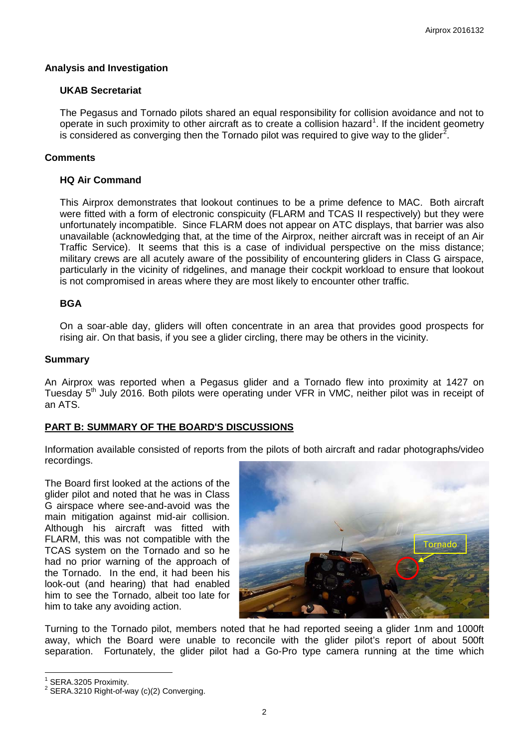## **Analysis and Investigation**

#### **UKAB Secretariat**

The Pegasus and Tornado pilots shared an equal responsibility for collision avoidance and not to operate in such proximity to other aircraft as to create a collision hazard<sup>[1](#page-1-0)</sup>. If the incident geometry is considered as converging then the Tornado pilot was required to give way to the glider<sup>[2](#page-1-1)</sup>.

## **Comments**

## **HQ Air Command**

This Airprox demonstrates that lookout continues to be a prime defence to MAC. Both aircraft were fitted with a form of electronic conspicuity (FLARM and TCAS II respectively) but they were unfortunately incompatible. Since FLARM does not appear on ATC displays, that barrier was also unavailable (acknowledging that, at the time of the Airprox, neither aircraft was in receipt of an Air Traffic Service). It seems that this is a case of individual perspective on the miss distance; military crews are all acutely aware of the possibility of encountering gliders in Class G airspace, particularly in the vicinity of ridgelines, and manage their cockpit workload to ensure that lookout is not compromised in areas where they are most likely to encounter other traffic.

## **BGA**

On a soar-able day, gliders will often concentrate in an area that provides good prospects for rising air. On that basis, if you see a glider circling, there may be others in the vicinity.

#### **Summary**

An Airprox was reported when a Pegasus glider and a Tornado flew into proximity at 1427 on Tuesday 5<sup>th</sup> July 2016. Both pilots were operating under VFR in VMC, neither pilot was in receipt of an ATS.

#### **PART B: SUMMARY OF THE BOARD'S DISCUSSIONS**

Information available consisted of reports from the pilots of both aircraft and radar photographs/video recordings.

The Board first looked at the actions of the glider pilot and noted that he was in Class G airspace where see-and-avoid was the main mitigation against mid-air collision. Although his aircraft was fitted with FLARM, this was not compatible with the TCAS system on the Tornado and so he had no prior warning of the approach of the Tornado. In the end, it had been his look-out (and hearing) that had enabled him to see the Tornado, albeit too late for him to take any avoiding action.



Turning to the Tornado pilot, members noted that he had reported seeing a glider 1nm and 1000ft away, which the Board were unable to reconcile with the glider pilot's report of about 500ft separation. Fortunately, the glider pilot had a Go-Pro type camera running at the time which

<span id="page-1-1"></span><span id="page-1-0"></span>

<sup>&</sup>lt;sup>1</sup> SERA.3205 Proximity.<br><sup>2</sup> SERA.3210 Right-of-way (c)(2) Converging.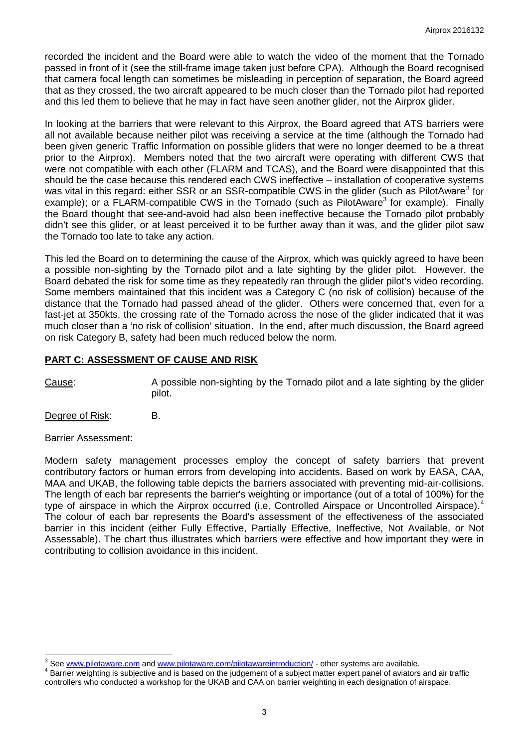recorded the incident and the Board were able to watch the video of the moment that the Tornado passed in front of it (see the still-frame image taken just before CPA). Although the Board recognised that camera focal length can sometimes be misleading in perception of separation, the Board agreed that as they crossed, the two aircraft appeared to be much closer than the Tornado pilot had reported and this led them to believe that he may in fact have seen another glider, not the Airprox glider.

In looking at the barriers that were relevant to this Airprox, the Board agreed that ATS barriers were all not available because neither pilot was receiving a service at the time (although the Tornado had been given generic Traffic Information on possible gliders that were no longer deemed to be a threat prior to the Airprox). Members noted that the two aircraft were operating with different CWS that were not compatible with each other (FLARM and TCAS), and the Board were disappointed that this should be the case because this rendered each CWS ineffective – installation of cooperative systems was vital in this regard: either SSR or an SSR-compatible CWS in the glider (such as PilotAware<sup>[3](#page-2-0)</sup> for example); or a FLARM-compatible CWS in the Tornado (such as PilotAware<sup>3</sup> for example). Finally the Board thought that see-and-avoid had also been ineffective because the Tornado pilot probably didn't see this glider, or at least perceived it to be further away than it was, and the glider pilot saw the Tornado too late to take any action.

This led the Board on to determining the cause of the Airprox, which was quickly agreed to have been a possible non-sighting by the Tornado pilot and a late sighting by the glider pilot. However, the Board debated the risk for some time as they repeatedly ran through the glider pilot's video recording. Some members maintained that this incident was a Category C (no risk of collision) because of the distance that the Tornado had passed ahead of the glider. Others were concerned that, even for a fast-jet at 350kts, the crossing rate of the Tornado across the nose of the glider indicated that it was much closer than a 'no risk of collision' situation. In the end, after much discussion, the Board agreed on risk Category B, safety had been much reduced below the norm.

## **PART C: ASSESSMENT OF CAUSE AND RISK**

Cause: A possible non-sighting by the Tornado pilot and a late sighting by the glider pilot.

Degree of Risk: B.

#### Barrier Assessment:

Modern safety management processes employ the concept of safety barriers that prevent contributory factors or human errors from developing into accidents. Based on work by EASA, CAA, MAA and UKAB, the following table depicts the barriers associated with preventing mid-air-collisions. The length of each bar represents the barrier's weighting or importance (out of a total of 100%) for the type of airspace in which the Airprox occurred (i.e. Controlled Airspace or Uncontrolled Airspace).<sup>[4](#page-2-1)</sup> The colour of each bar represents the Board's assessment of the effectiveness of the associated barrier in this incident (either Fully Effective, Partially Effective, Ineffective, Not Available, or Not Assessable). The chart thus illustrates which barriers were effective and how important they were in contributing to collision avoidance in this incident.

<span id="page-2-0"></span><sup>&</sup>lt;sup>3</sup> See www.pilotaware.com and www.pilotaware.com/pilotawareintroduction/ - other systems are available.

<span id="page-2-1"></span>Barrier weighting is subjective and is based on the judgement of a subject matter expert panel of aviators and air traffic controllers who conducted a workshop for the UKAB and CAA on barrier weighting in each designation of airspace.